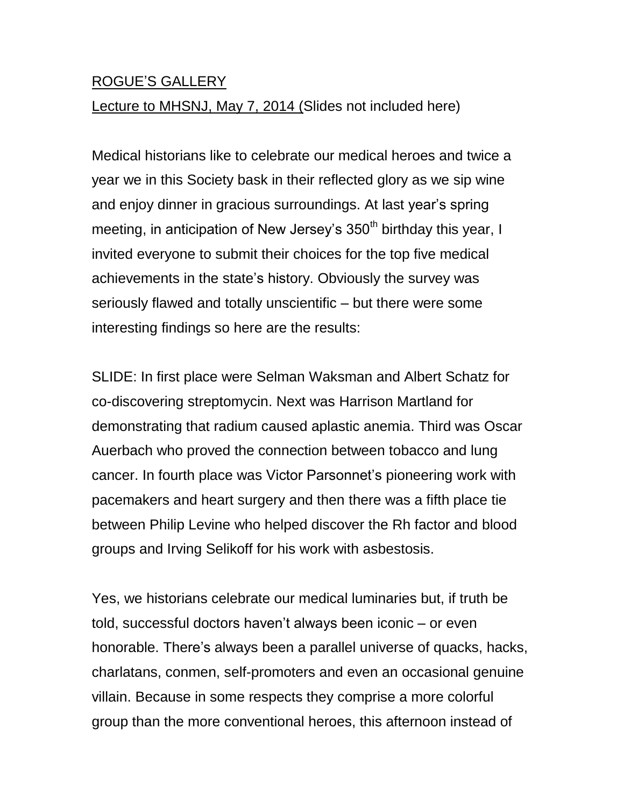## ROGUE'S GALLERY

## Lecture to MHSNJ, May 7, 2014 (Slides not included here)

Medical historians like to celebrate our medical heroes and twice a year we in this Society bask in their reflected glory as we sip wine and enjoy dinner in gracious surroundings. At last year's spring meeting, in anticipation of New Jersey's 350<sup>th</sup> birthday this year, I invited everyone to submit their choices for the top five medical achievements in the state's history. Obviously the survey was seriously flawed and totally unscientific – but there were some interesting findings so here are the results:

SLIDE: In first place were Selman Waksman and Albert Schatz for co-discovering streptomycin. Next was Harrison Martland for demonstrating that radium caused aplastic anemia. Third was Oscar Auerbach who proved the connection between tobacco and lung cancer. In fourth place was Victor Parsonnet's pioneering work with pacemakers and heart surgery and then there was a fifth place tie between Philip Levine who helped discover the Rh factor and blood groups and Irving Selikoff for his work with asbestosis.

Yes, we historians celebrate our medical luminaries but, if truth be told, successful doctors haven't always been iconic – or even honorable. There's always been a parallel universe of quacks, hacks, charlatans, conmen, self-promoters and even an occasional genuine villain. Because in some respects they comprise a more colorful group than the more conventional heroes, this afternoon instead of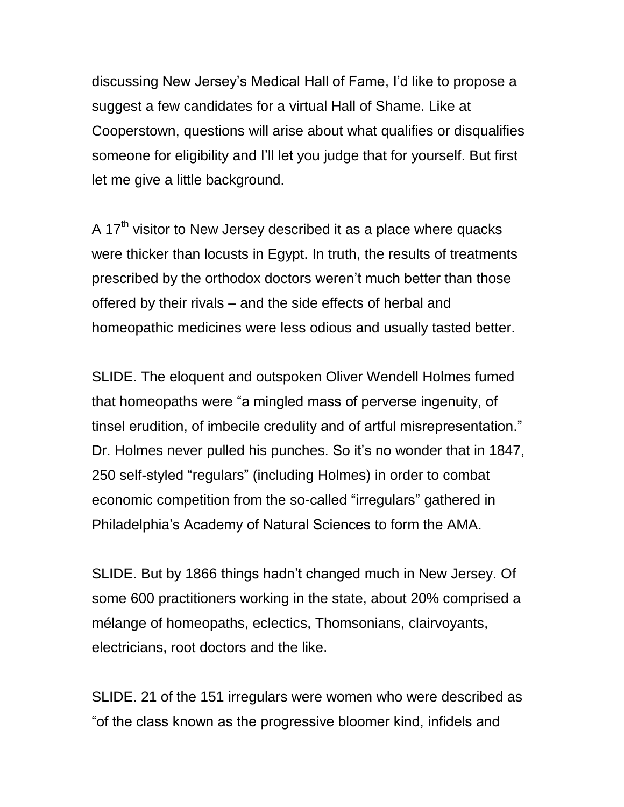discussing New Jersey's Medical Hall of Fame, I'd like to propose a suggest a few candidates for a virtual Hall of Shame. Like at Cooperstown, questions will arise about what qualifies or disqualifies someone for eligibility and I'll let you judge that for yourself. But first let me give a little background.

A 17<sup>th</sup> visitor to New Jersey described it as a place where quacks were thicker than locusts in Egypt. In truth, the results of treatments prescribed by the orthodox doctors weren't much better than those offered by their rivals – and the side effects of herbal and homeopathic medicines were less odious and usually tasted better.

SLIDE. The eloquent and outspoken Oliver Wendell Holmes fumed that homeopaths were "a mingled mass of perverse ingenuity, of tinsel erudition, of imbecile credulity and of artful misrepresentation." Dr. Holmes never pulled his punches. So it's no wonder that in 1847, 250 self-styled "regulars" (including Holmes) in order to combat economic competition from the so-called "irregulars" gathered in Philadelphia's Academy of Natural Sciences to form the AMA.

SLIDE. But by 1866 things hadn't changed much in New Jersey. Of some 600 practitioners working in the state, about 20% comprised a mélange of homeopaths, eclectics, Thomsonians, clairvoyants, electricians, root doctors and the like.

SLIDE. 21 of the 151 irregulars were women who were described as "of the class known as the progressive bloomer kind, infidels and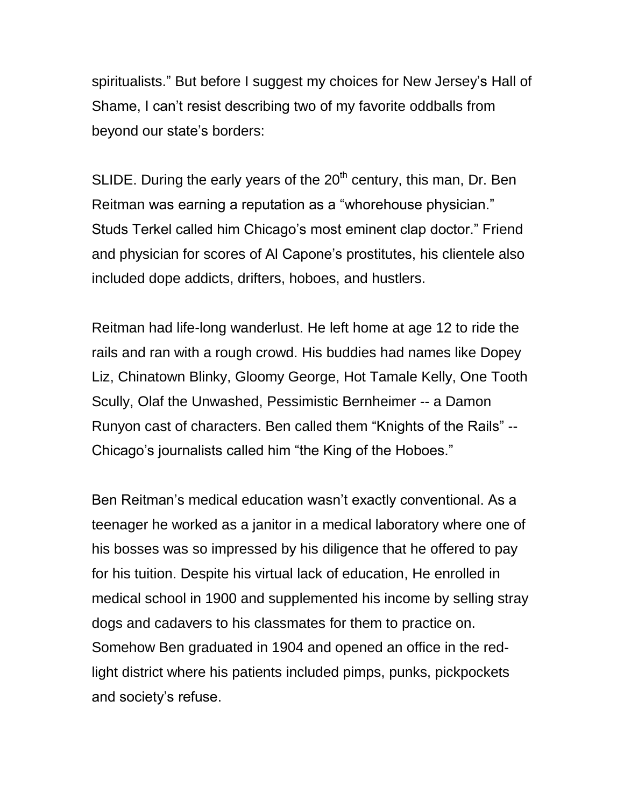spiritualists." But before I suggest my choices for New Jersey's Hall of Shame, I can't resist describing two of my favorite oddballs from beyond our state's borders:

SLIDE. During the early years of the  $20<sup>th</sup>$  century, this man, Dr. Ben Reitman was earning a reputation as a "whorehouse physician." Studs Terkel called him Chicago's most eminent clap doctor." Friend and physician for scores of Al Capone's prostitutes, his clientele also included dope addicts, drifters, hoboes, and hustlers.

Reitman had life-long wanderlust. He left home at age 12 to ride the rails and ran with a rough crowd. His buddies had names like Dopey Liz, Chinatown Blinky, Gloomy George, Hot Tamale Kelly, One Tooth Scully, Olaf the Unwashed, Pessimistic Bernheimer -- a Damon Runyon cast of characters. Ben called them "Knights of the Rails" -- Chicago's journalists called him "the King of the Hoboes."

Ben Reitman's medical education wasn't exactly conventional. As a teenager he worked as a janitor in a medical laboratory where one of his bosses was so impressed by his diligence that he offered to pay for his tuition. Despite his virtual lack of education, He enrolled in medical school in 1900 and supplemented his income by selling stray dogs and cadavers to his classmates for them to practice on. Somehow Ben graduated in 1904 and opened an office in the redlight district where his patients included pimps, punks, pickpockets and society's refuse.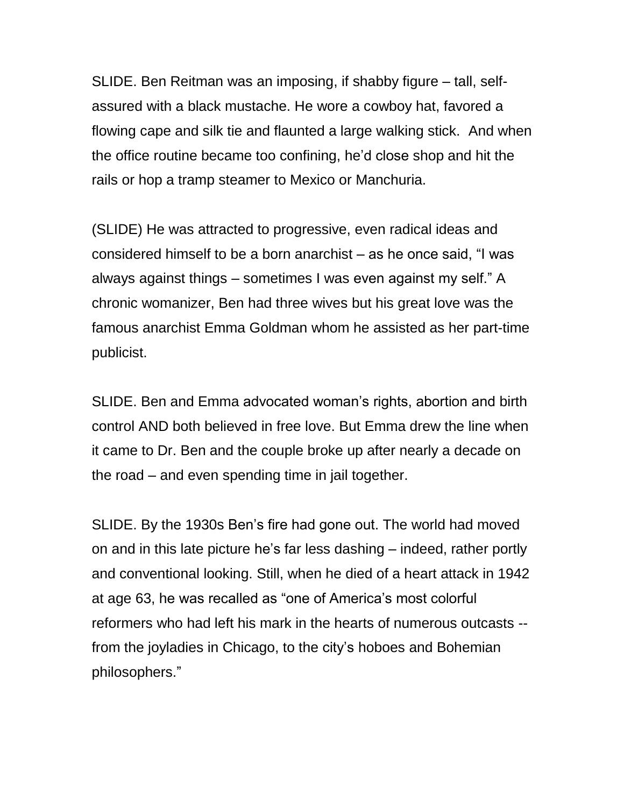SLIDE. Ben Reitman was an imposing, if shabby figure – tall, selfassured with a black mustache. He wore a cowboy hat, favored a flowing cape and silk tie and flaunted a large walking stick. And when the office routine became too confining, he'd close shop and hit the rails or hop a tramp steamer to Mexico or Manchuria.

(SLIDE) He was attracted to progressive, even radical ideas and considered himself to be a born anarchist – as he once said, "I was always against things – sometimes I was even against my self." A chronic womanizer, Ben had three wives but his great love was the famous anarchist Emma Goldman whom he assisted as her part-time publicist.

SLIDE. Ben and Emma advocated woman's rights, abortion and birth control AND both believed in free love. But Emma drew the line when it came to Dr. Ben and the couple broke up after nearly a decade on the road – and even spending time in jail together.

SLIDE. By the 1930s Ben's fire had gone out. The world had moved on and in this late picture he's far less dashing – indeed, rather portly and conventional looking. Still, when he died of a heart attack in 1942 at age 63, he was recalled as "one of America's most colorful reformers who had left his mark in the hearts of numerous outcasts - from the joyladies in Chicago, to the city's hoboes and Bohemian philosophers."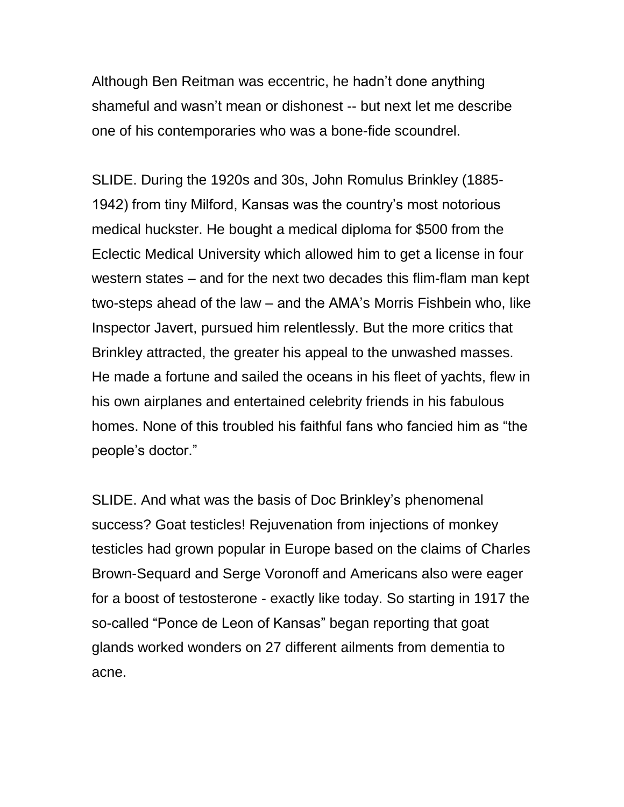Although Ben Reitman was eccentric, he hadn't done anything shameful and wasn't mean or dishonest -- but next let me describe one of his contemporaries who was a bone-fide scoundrel.

SLIDE. During the 1920s and 30s, John Romulus Brinkley (1885- 1942) from tiny Milford, Kansas was the country's most notorious medical huckster. He bought a medical diploma for \$500 from the Eclectic Medical University which allowed him to get a license in four western states – and for the next two decades this flim-flam man kept two-steps ahead of the law – and the AMA's Morris Fishbein who, like Inspector Javert, pursued him relentlessly. But the more critics that Brinkley attracted, the greater his appeal to the unwashed masses. He made a fortune and sailed the oceans in his fleet of yachts, flew in his own airplanes and entertained celebrity friends in his fabulous homes. None of this troubled his faithful fans who fancied him as "the people's doctor."

SLIDE. And what was the basis of Doc Brinkley's phenomenal success? Goat testicles! Rejuvenation from injections of monkey testicles had grown popular in Europe based on the claims of Charles Brown-Sequard and Serge Voronoff and Americans also were eager for a boost of testosterone - exactly like today. So starting in 1917 the so-called "Ponce de Leon of Kansas" began reporting that goat glands worked wonders on 27 different ailments from dementia to acne.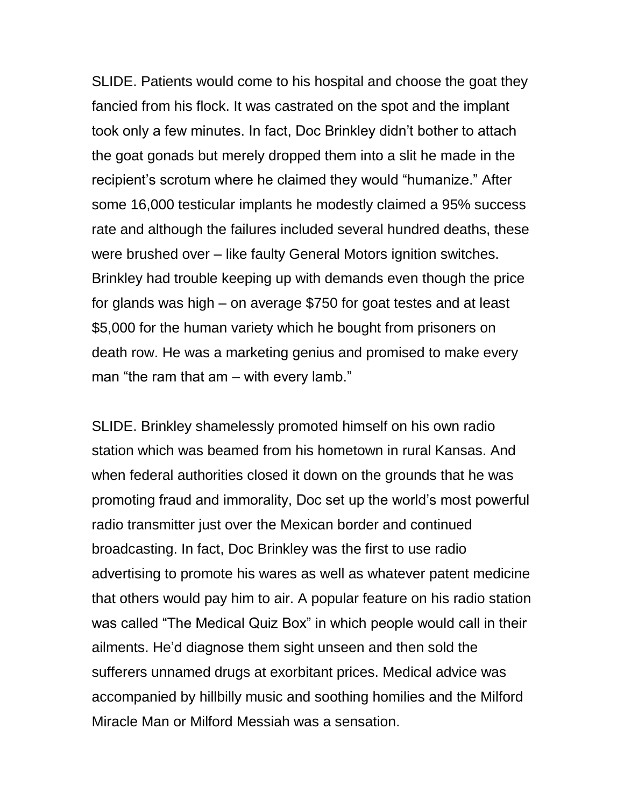SLIDE. Patients would come to his hospital and choose the goat they fancied from his flock. It was castrated on the spot and the implant took only a few minutes. In fact, Doc Brinkley didn't bother to attach the goat gonads but merely dropped them into a slit he made in the recipient's scrotum where he claimed they would "humanize." After some 16,000 testicular implants he modestly claimed a 95% success rate and although the failures included several hundred deaths, these were brushed over – like faulty General Motors ignition switches. Brinkley had trouble keeping up with demands even though the price for glands was high – on average \$750 for goat testes and at least \$5,000 for the human variety which he bought from prisoners on death row. He was a marketing genius and promised to make every man "the ram that am – with every lamb."

SLIDE. Brinkley shamelessly promoted himself on his own radio station which was beamed from his hometown in rural Kansas. And when federal authorities closed it down on the grounds that he was promoting fraud and immorality, Doc set up the world's most powerful radio transmitter just over the Mexican border and continued broadcasting. In fact, Doc Brinkley was the first to use radio advertising to promote his wares as well as whatever patent medicine that others would pay him to air. A popular feature on his radio station was called "The Medical Quiz Box" in which people would call in their ailments. He'd diagnose them sight unseen and then sold the sufferers unnamed drugs at exorbitant prices. Medical advice was accompanied by hillbilly music and soothing homilies and the Milford Miracle Man or Milford Messiah was a sensation.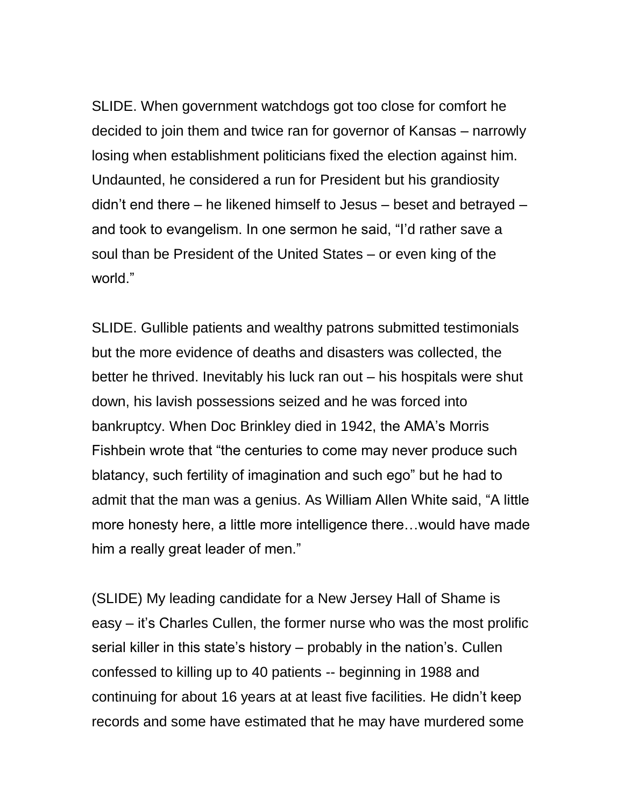SLIDE. When government watchdogs got too close for comfort he decided to join them and twice ran for governor of Kansas – narrowly losing when establishment politicians fixed the election against him. Undaunted, he considered a run for President but his grandiosity didn't end there – he likened himself to Jesus – beset and betrayed – and took to evangelism. In one sermon he said, "I'd rather save a soul than be President of the United States – or even king of the world."

SLIDE. Gullible patients and wealthy patrons submitted testimonials but the more evidence of deaths and disasters was collected, the better he thrived. Inevitably his luck ran out – his hospitals were shut down, his lavish possessions seized and he was forced into bankruptcy. When Doc Brinkley died in 1942, the AMA's Morris Fishbein wrote that "the centuries to come may never produce such blatancy, such fertility of imagination and such ego" but he had to admit that the man was a genius. As William Allen White said, "A little more honesty here, a little more intelligence there…would have made him a really great leader of men."

(SLIDE) My leading candidate for a New Jersey Hall of Shame is easy – it's Charles Cullen, the former nurse who was the most prolific serial killer in this state's history – probably in the nation's. Cullen confessed to killing up to 40 patients -- beginning in 1988 and continuing for about 16 years at at least five facilities. He didn't keep records and some have estimated that he may have murdered some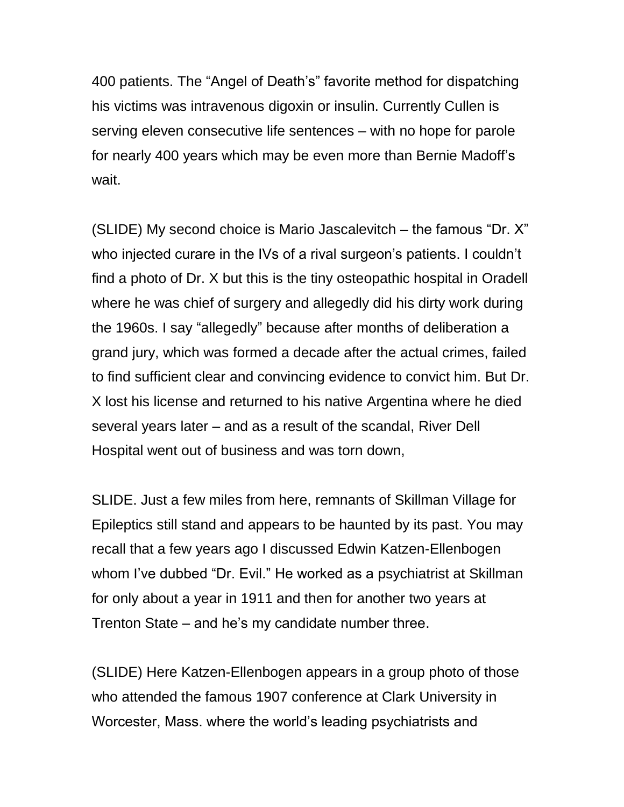400 patients. The "Angel of Death's" favorite method for dispatching his victims was intravenous digoxin or insulin. Currently Cullen is serving eleven consecutive life sentences – with no hope for parole for nearly 400 years which may be even more than Bernie Madoff's wait.

(SLIDE) My second choice is Mario Jascalevitch – the famous "Dr. X" who injected curare in the IVs of a rival surgeon's patients. I couldn't find a photo of Dr. X but this is the tiny osteopathic hospital in Oradell where he was chief of surgery and allegedly did his dirty work during the 1960s. I say "allegedly" because after months of deliberation a grand jury, which was formed a decade after the actual crimes, failed to find sufficient clear and convincing evidence to convict him. But Dr. X lost his license and returned to his native Argentina where he died several years later – and as a result of the scandal, River Dell Hospital went out of business and was torn down,

SLIDE. Just a few miles from here, remnants of Skillman Village for Epileptics still stand and appears to be haunted by its past. You may recall that a few years ago I discussed Edwin Katzen-Ellenbogen whom I've dubbed "Dr. Evil." He worked as a psychiatrist at Skillman for only about a year in 1911 and then for another two years at Trenton State – and he's my candidate number three.

(SLIDE) Here Katzen-Ellenbogen appears in a group photo of those who attended the famous 1907 conference at Clark University in Worcester, Mass. where the world's leading psychiatrists and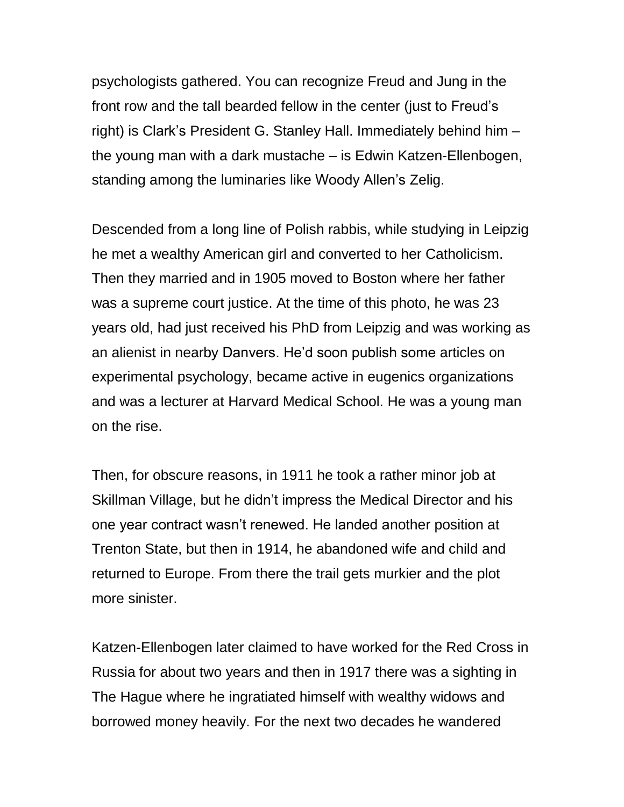psychologists gathered. You can recognize Freud and Jung in the front row and the tall bearded fellow in the center (just to Freud's right) is Clark's President G. Stanley Hall. Immediately behind him – the young man with a dark mustache – is Edwin Katzen-Ellenbogen, standing among the luminaries like Woody Allen's Zelig.

Descended from a long line of Polish rabbis, while studying in Leipzig he met a wealthy American girl and converted to her Catholicism. Then they married and in 1905 moved to Boston where her father was a supreme court justice. At the time of this photo, he was 23 years old, had just received his PhD from Leipzig and was working as an alienist in nearby Danvers. He'd soon publish some articles on experimental psychology, became active in eugenics organizations and was a lecturer at Harvard Medical School. He was a young man on the rise.

Then, for obscure reasons, in 1911 he took a rather minor job at Skillman Village, but he didn't impress the Medical Director and his one year contract wasn't renewed. He landed another position at Trenton State, but then in 1914, he abandoned wife and child and returned to Europe. From there the trail gets murkier and the plot more sinister.

Katzen-Ellenbogen later claimed to have worked for the Red Cross in Russia for about two years and then in 1917 there was a sighting in The Hague where he ingratiated himself with wealthy widows and borrowed money heavily. For the next two decades he wandered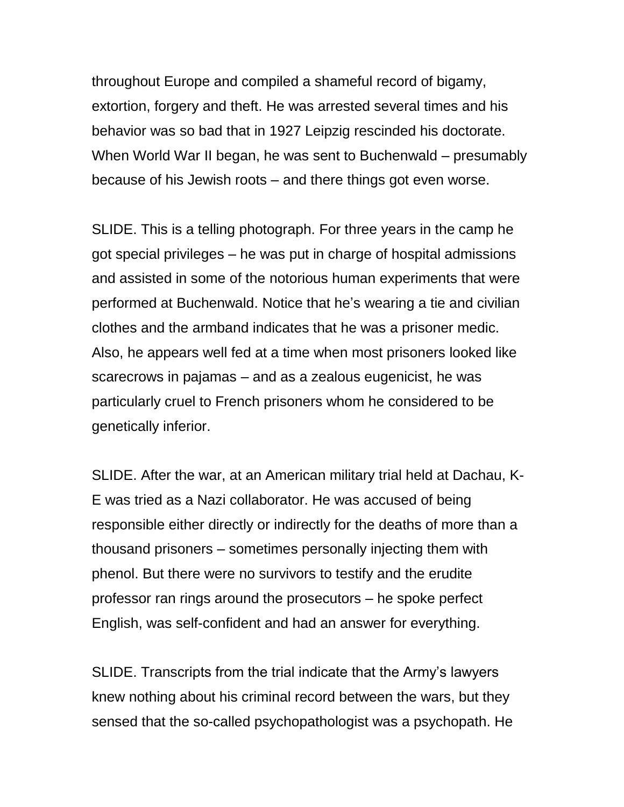throughout Europe and compiled a shameful record of bigamy, extortion, forgery and theft. He was arrested several times and his behavior was so bad that in 1927 Leipzig rescinded his doctorate. When World War II began, he was sent to Buchenwald – presumably because of his Jewish roots – and there things got even worse.

SLIDE. This is a telling photograph. For three years in the camp he got special privileges – he was put in charge of hospital admissions and assisted in some of the notorious human experiments that were performed at Buchenwald. Notice that he's wearing a tie and civilian clothes and the armband indicates that he was a prisoner medic. Also, he appears well fed at a time when most prisoners looked like scarecrows in pajamas – and as a zealous eugenicist, he was particularly cruel to French prisoners whom he considered to be genetically inferior.

SLIDE. After the war, at an American military trial held at Dachau, K-E was tried as a Nazi collaborator. He was accused of being responsible either directly or indirectly for the deaths of more than a thousand prisoners – sometimes personally injecting them with phenol. But there were no survivors to testify and the erudite professor ran rings around the prosecutors – he spoke perfect English, was self-confident and had an answer for everything.

SLIDE. Transcripts from the trial indicate that the Army's lawyers knew nothing about his criminal record between the wars, but they sensed that the so-called psychopathologist was a psychopath. He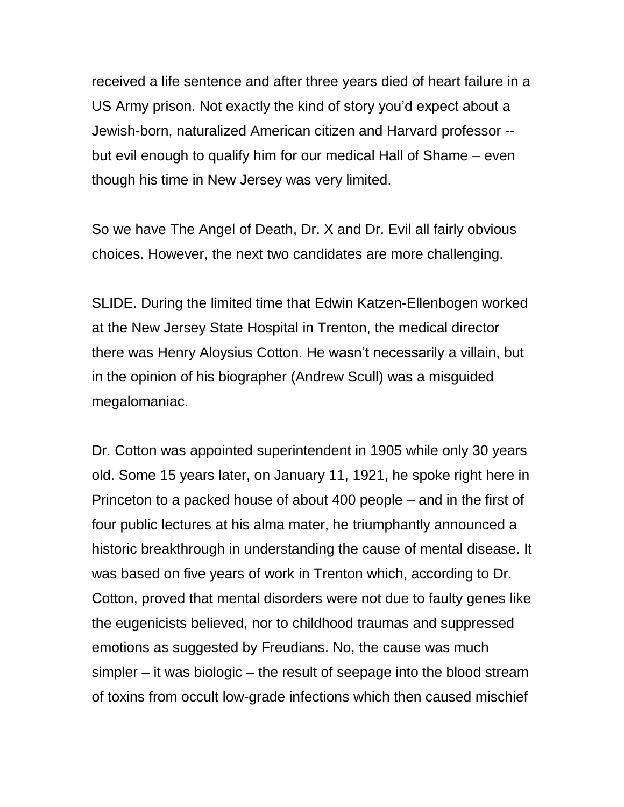received a life sentence and after three years died of heart failure in a US Army prison. Not exactly the kind of story you'd expect about a Jewish-born, naturalized American citizen and Harvard professor - but evil enough to qualify him for our medical Hall of Shame – even though his time in New Jersey was very limited.

So we have The Angel of Death, Dr. X and Dr. Evil all fairly obvious choices. However, the next two candidates are more challenging.

SLIDE. During the limited time that Edwin Katzen-Ellenbogen worked at the New Jersey State Hospital in Trenton, the medical director there was Henry Aloysius Cotton. He wasn't necessarily a villain, but in the opinion of his biographer (Andrew Scull) was a misguided megalomaniac.

Dr. Cotton was appointed superintendent in 1905 while only 30 years old. Some 15 years later, on January 11, 1921, he spoke right here in Princeton to a packed house of about 400 people – and in the first of four public lectures at his alma mater, he triumphantly announced a historic breakthrough in understanding the cause of mental disease. It was based on five years of work in Trenton which, according to Dr. Cotton, proved that mental disorders were not due to faulty genes like the eugenicists believed, nor to childhood traumas and suppressed emotions as suggested by Freudians. No, the cause was much simpler – it was biologic – the result of seepage into the blood stream of toxins from occult low-grade infections which then caused mischief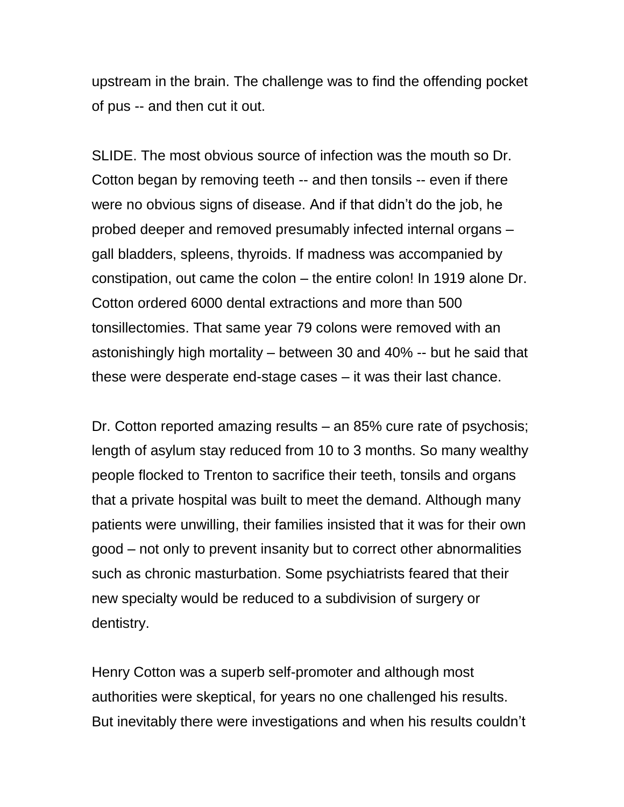upstream in the brain. The challenge was to find the offending pocket of pus -- and then cut it out.

SLIDE. The most obvious source of infection was the mouth so Dr. Cotton began by removing teeth -- and then tonsils -- even if there were no obvious signs of disease. And if that didn't do the job, he probed deeper and removed presumably infected internal organs – gall bladders, spleens, thyroids. If madness was accompanied by constipation, out came the colon – the entire colon! In 1919 alone Dr. Cotton ordered 6000 dental extractions and more than 500 tonsillectomies. That same year 79 colons were removed with an astonishingly high mortality – between 30 and 40% -- but he said that these were desperate end-stage cases – it was their last chance.

Dr. Cotton reported amazing results – an 85% cure rate of psychosis; length of asylum stay reduced from 10 to 3 months. So many wealthy people flocked to Trenton to sacrifice their teeth, tonsils and organs that a private hospital was built to meet the demand. Although many patients were unwilling, their families insisted that it was for their own good – not only to prevent insanity but to correct other abnormalities such as chronic masturbation. Some psychiatrists feared that their new specialty would be reduced to a subdivision of surgery or dentistry.

Henry Cotton was a superb self-promoter and although most authorities were skeptical, for years no one challenged his results. But inevitably there were investigations and when his results couldn't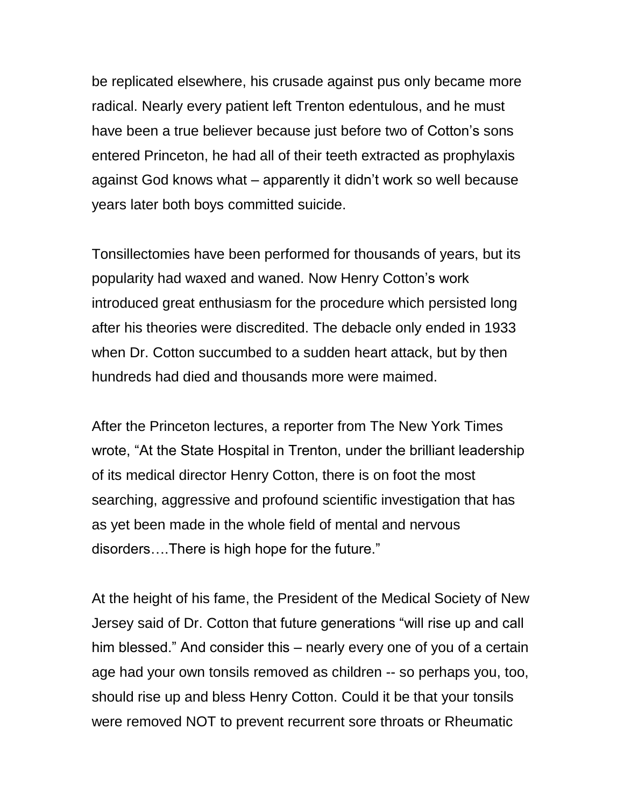be replicated elsewhere, his crusade against pus only became more radical. Nearly every patient left Trenton edentulous, and he must have been a true believer because just before two of Cotton's sons entered Princeton, he had all of their teeth extracted as prophylaxis against God knows what – apparently it didn't work so well because years later both boys committed suicide.

Tonsillectomies have been performed for thousands of years, but its popularity had waxed and waned. Now Henry Cotton's work introduced great enthusiasm for the procedure which persisted long after his theories were discredited. The debacle only ended in 1933 when Dr. Cotton succumbed to a sudden heart attack, but by then hundreds had died and thousands more were maimed.

After the Princeton lectures, a reporter from The New York Times wrote, "At the State Hospital in Trenton, under the brilliant leadership of its medical director Henry Cotton, there is on foot the most searching, aggressive and profound scientific investigation that has as yet been made in the whole field of mental and nervous disorders….There is high hope for the future."

At the height of his fame, the President of the Medical Society of New Jersey said of Dr. Cotton that future generations "will rise up and call him blessed." And consider this – nearly every one of you of a certain age had your own tonsils removed as children -- so perhaps you, too, should rise up and bless Henry Cotton. Could it be that your tonsils were removed NOT to prevent recurrent sore throats or Rheumatic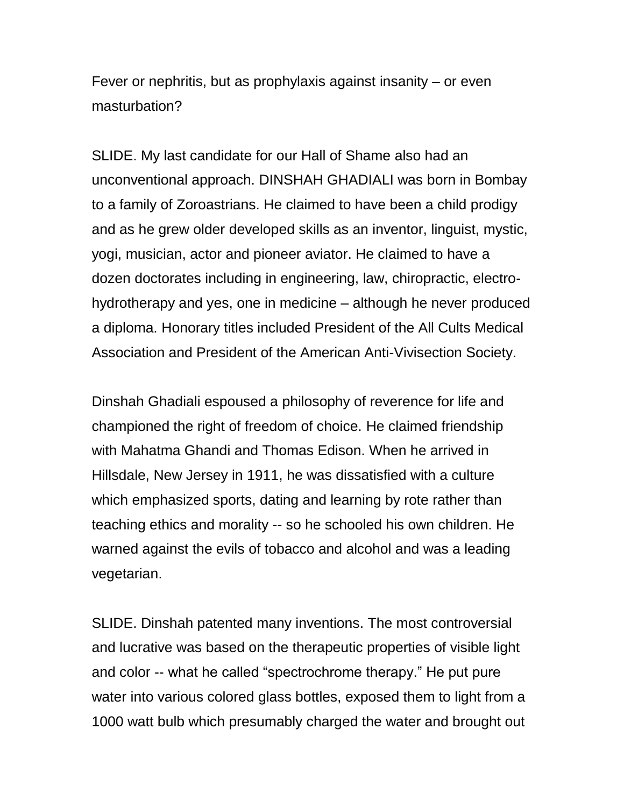Fever or nephritis, but as prophylaxis against insanity – or even masturbation?

SLIDE. My last candidate for our Hall of Shame also had an unconventional approach. DINSHAH GHADIALI was born in Bombay to a family of Zoroastrians. He claimed to have been a child prodigy and as he grew older developed skills as an inventor, linguist, mystic, yogi, musician, actor and pioneer aviator. He claimed to have a dozen doctorates including in engineering, law, chiropractic, electrohydrotherapy and yes, one in medicine – although he never produced a diploma. Honorary titles included President of the All Cults Medical Association and President of the American Anti-Vivisection Society.

Dinshah Ghadiali espoused a philosophy of reverence for life and championed the right of freedom of choice. He claimed friendship with Mahatma Ghandi and Thomas Edison. When he arrived in Hillsdale, New Jersey in 1911, he was dissatisfied with a culture which emphasized sports, dating and learning by rote rather than teaching ethics and morality -- so he schooled his own children. He warned against the evils of tobacco and alcohol and was a leading vegetarian.

SLIDE. Dinshah patented many inventions. The most controversial and lucrative was based on the therapeutic properties of visible light and color -- what he called "spectrochrome therapy." He put pure water into various colored glass bottles, exposed them to light from a 1000 watt bulb which presumably charged the water and brought out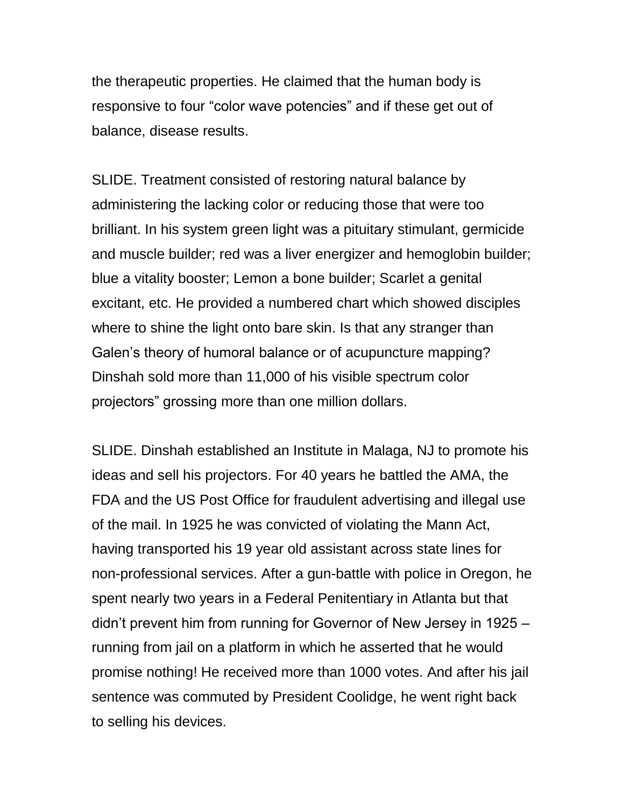the therapeutic properties. He claimed that the human body is responsive to four "color wave potencies" and if these get out of balance, disease results.

SLIDE. Treatment consisted of restoring natural balance by administering the lacking color or reducing those that were too brilliant. In his system green light was a pituitary stimulant, germicide and muscle builder; red was a liver energizer and hemoglobin builder; blue a vitality booster; Lemon a bone builder; Scarlet a genital excitant, etc. He provided a numbered chart which showed disciples where to shine the light onto bare skin. Is that any stranger than Galen's theory of humoral balance or of acupuncture mapping? Dinshah sold more than 11,000 of his visible spectrum color projectors" grossing more than one million dollars.

SLIDE. Dinshah established an Institute in Malaga, NJ to promote his ideas and sell his projectors. For 40 years he battled the AMA, the FDA and the US Post Office for fraudulent advertising and illegal use of the mail. In 1925 he was convicted of violating the Mann Act, having transported his 19 year old assistant across state lines for non-professional services. After a gun-battle with police in Oregon, he spent nearly two years in a Federal Penitentiary in Atlanta but that didn't prevent him from running for Governor of New Jersey in 1925 – running from jail on a platform in which he asserted that he would promise nothing! He received more than 1000 votes. And after his jail sentence was commuted by President Coolidge, he went right back to selling his devices.